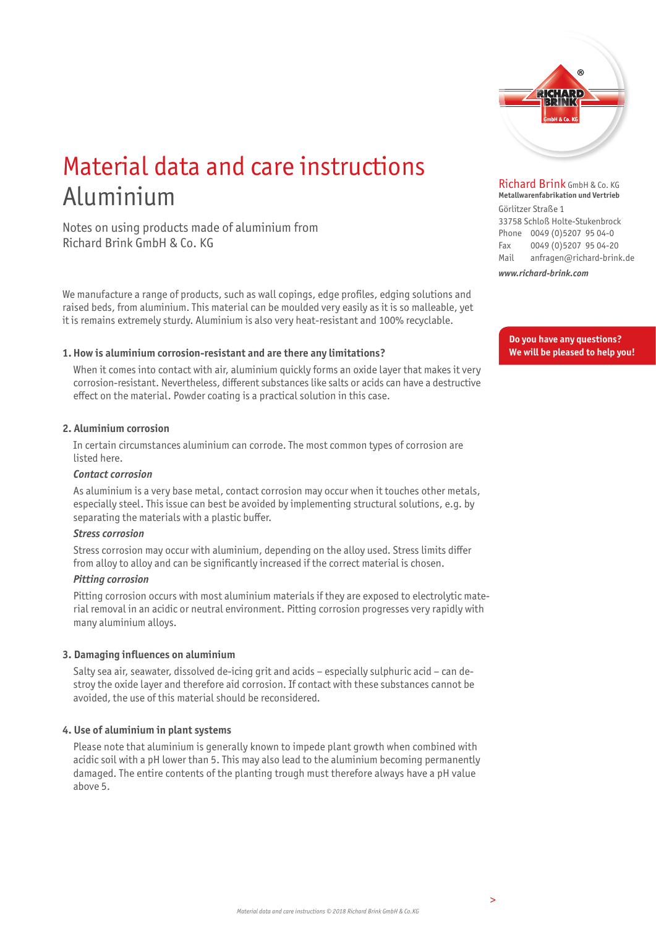

# Material data and care instructions Aluminium

Notes on using products made of aluminium from Richard Brink GmbH & Co. KG

We manufacture a range of products, such as wall copings, edge profiles, edging solutions and raised beds, from aluminium. This material can be moulded very easily as it is so malleable, yet it is remains extremely sturdy. Aluminium is also very heat-resistant and 100% recyclable.

## **1. How is aluminium corrosion-resistant and are there any limitations?**

 When it comes into contact with air, aluminium quickly forms an oxide layer that makes it very corrosion-resistant. Nevertheless, different substances like salts or acids can have a destructive effect on the material. Powder coating is a practical solution in this case.

## **2. Aluminium corrosion**

 In certain circumstances aluminium can corrode. The most common types of corrosion are listed here.

## *Contact corrosion*

 As aluminium is a very base metal, contact corrosion may occur when it touches other metals, especially steel. This issue can best be avoided by implementing structural solutions, e.g. by separating the materials with a plastic buffer.

## *Stress corrosion*

 Stress corrosion may occur with aluminium, depending on the alloy used. Stress limits differ from alloy to alloy and can be significantly increased if the correct material is chosen.

## *Pitting corrosion*

 Pitting corrosion occurs with most aluminium materials if they are exposed to electrolytic material removal in an acidic or neutral environment. Pitting corrosion progresses very rapidly with many aluminium alloys.

# **3. Damaging influences on aluminium**

 Salty sea air, seawater, dissolved de-icing grit and acids – especially sulphuric acid – can destroy the oxide layer and therefore aid corrosion. If contact with these substances cannot be avoided, the use of this material should be reconsidered.

# **4. Use of aluminium in plant systems**

 Please note that aluminium is generally known to impede plant growth when combined with acidic soil with a pH lower than 5. This may also lead to the aluminium becoming permanently damaged. The entire contents of the planting trough must therefore always have a pH value above 5.

Richard Brink GmbH & Co. KG **Metallwarenfabrikation und Vertrieb** 

Görlitzer Straße 1 33758 Schloß Holte-Stukenbrock Phone 0049 (0)5207 95 04-0 Fax 0049 (0)5207 95 04-20 Mail anfragen@richard-brink.de

*www.richard-brink.com*

**Do you have any questions? We will be pleased to help you!**